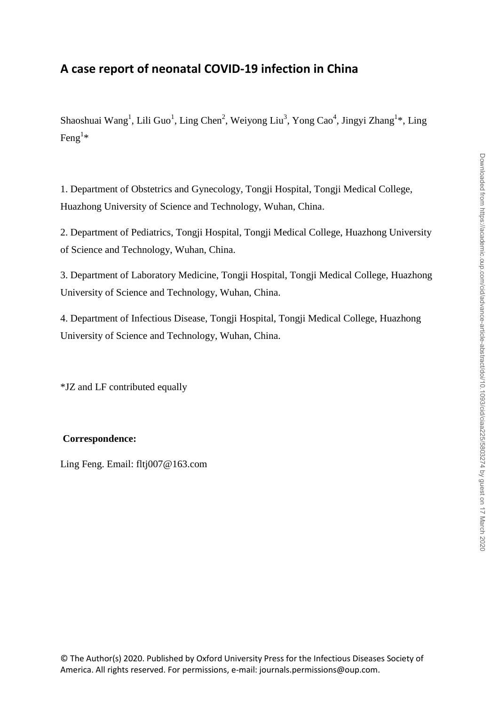# **A case report of neonatal COVID-19 infection in China**

Shaoshuai Wang<sup>1</sup>, Lili Guo<sup>1</sup>, Ling Chen<sup>2</sup>, Weiyong Liu<sup>3</sup>, Yong Cao<sup>4</sup>, Jingyi Zhang<sup>1\*</sup>, Ling Feng<sup>1\*</sup>

1. Department of Obstetrics and Gynecology, Tongji Hospital, Tongji Medical College, Huazhong University of Science and Technology, Wuhan, China.

2. Department of Pediatrics, Tongji Hospital, Tongji Medical College, Huazhong University of Science and Technology, Wuhan, China.

3. Department of Laboratory Medicine, Tongji Hospital, Tongji Medical College, Huazhong University of Science and Technology, Wuhan, China.

4. Department of Infectious Disease, Tongji Hospital, Tongji Medical College, Huazhong University of Science and Technology, Wuhan, China.

\*JZ and LF contributed equally

## **Correspondence:**

Ling Feng. Email: fltj007@163.com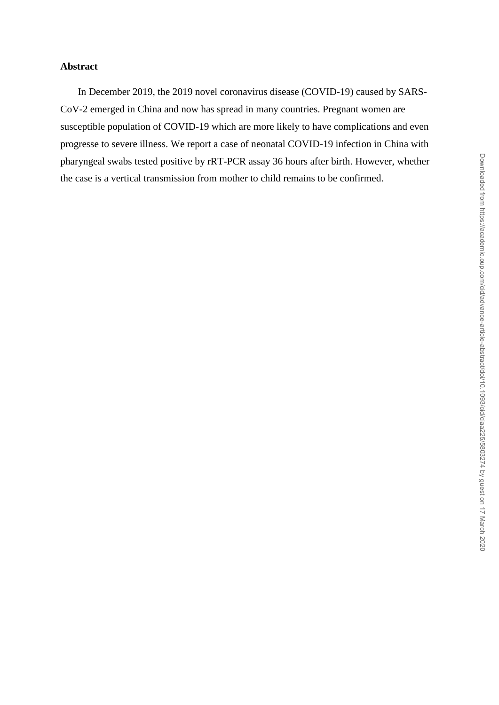## **Abstract**

In December 2019, the 2019 novel coronavirus disease (COVID-19) caused by SARS-CoV-2 emerged in China and now has spread in many countries. Pregnant women are susceptible population of COVID-19 which are more likely to have complications and even progresse to severe illness. We report a case of neonatal COVID-19 infection in China with pharyngeal swabs tested positive by rRT-PCR assay 36 hours after birth. However, whether the case is a vertical transmission from mother to child remains to be confirmed.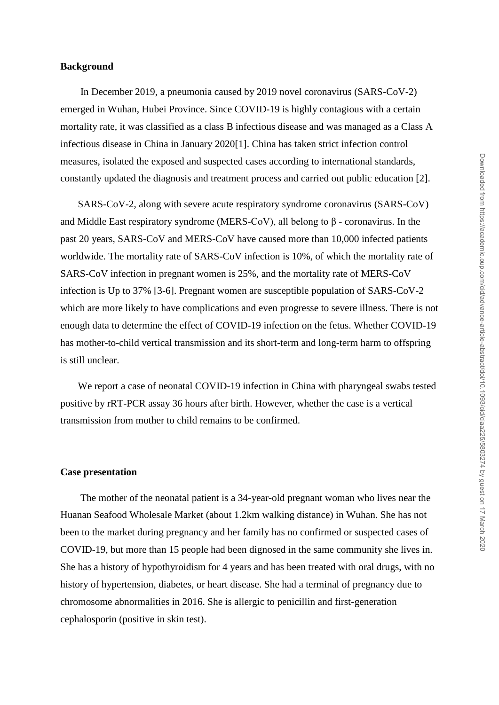#### **Background**

In December 2019, a pneumonia caused by 2019 novel coronavirus (SARS-CoV-2) emerged in Wuhan, Hubei Province. Since COVID-19 is highly contagious with a certain mortality rate, it was classified as a class B infectious disease and was managed as a Class A infectious disease in China in January 2020[1]. China has taken strict infection control measures, isolated the exposed and suspected cases according to international standards, constantly updated the diagnosis and treatment process and carried out public education [2].

SARS-CoV-2, along with severe acute respiratory syndrome coronavirus (SARS-CoV) and Middle East respiratory syndrome (MERS-CoV), all belong to  $\beta$  - coronavirus. In the past 20 years, SARS-CoV and MERS-CoV have caused more than 10,000 infected patients worldwide. The mortality rate of SARS-CoV infection is 10%, of which the mortality rate of SARS-CoV infection in pregnant women is 25%, and the mortality rate of MERS-CoV infection is Up to 37% [3-6]. Pregnant women are susceptible population of SARS-CoV-2 which are more likely to have complications and even progresse to severe illness. There is not enough data to determine the effect of COVID-19 infection on the fetus. Whether COVID-19 has mother-to-child vertical transmission and its short-term and long-term harm to offspring is still unclear.

We report a case of neonatal COVID-19 infection in China with pharyngeal swabs tested positive by rRT-PCR assay 36 hours after birth. However, whether the case is a vertical transmission from mother to child remains to be confirmed.

#### **Case presentation**

The mother of the neonatal patient is a 34-year-old pregnant woman who lives near the Huanan Seafood Wholesale Market (about 1.2km walking distance) in Wuhan. She has not been to the market during pregnancy and her family has no confirmed or suspected cases of COVID-19, but more than 15 people had been dignosed in the same community she lives in. She has a history of hypothyroidism for 4 years and has been treated with oral drugs, with no history of hypertension, diabetes, or heart disease. She had a terminal of pregnancy due to chromosome abnormalities in 2016. She is allergic to penicillin and first-generation cephalosporin (positive in skin test).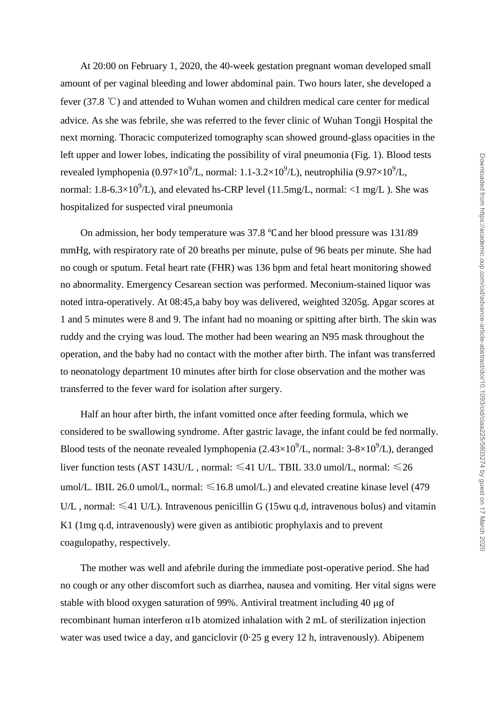At 20:00 on February 1, 2020, the 40-week gestation pregnant woman developed small amount of per vaginal bleeding and lower abdominal pain. Two hours later, she developed a fever (37.8 ℃) and attended to Wuhan women and children medical care center for medical advice. As she was febrile, she was referred to the fever clinic of Wuhan Tongji Hospital the next morning. Thoracic computerized tomography scan showed ground-glass opacities in the left upper and lower lobes, indicating the possibility of viral pneumonia (Fig. 1). Blood tests revealed lymphopenia (0.97×10<sup>9</sup>/L, normal: 1.1-3.2×10<sup>9</sup>/L), neutrophilia (9.97×10<sup>9</sup>/L, normal: 1.8-6.3×10<sup>9</sup>/L), and elevated hs-CRP level (11.5mg/L, normal: <1 mg/L). She was hospitalized for suspected viral pneumonia

On admission, her body temperature was 37.8 ℃ and her blood pressure was 131/89 mmHg, with respiratory rate of 20 breaths per minute, pulse of 96 beats per minute. She had no cough or sputum. Fetal heart rate (FHR) was 136 bpm and fetal heart monitoring showed no abnormality. Emergency Cesarean section was performed. Meconium-stained liquor was noted intra-operatively. At 08:45,a baby boy was delivered, weighted 3205g. Apgar scores at 1 and 5 minutes were 8 and 9. The infant had no moaning or spitting after birth. The skin was ruddy and the crying was loud. The mother had been wearing an N95 mask throughout the operation, and the baby had no contact with the mother after birth. The infant was transferred to neonatology department 10 minutes after birth for close observation and the mother was transferred to the fever ward for isolation after surgery.

Half an hour after birth, the infant vomitted once after feeding formula, which we considered to be swallowing syndrome. After gastric lavage, the infant could be fed normally. Blood tests of the neonate revealed lymphopenia  $(2.43\times10^{9}/L)$ , normal:  $3-8\times10^{9}/L$ ), deranged liver function tests (AST 143U/L, normal:  $\leq 41$  U/L. TBIL 33.0 umol/L, normal:  $\leq 26$ umol/L. IBIL 26.0 umol/L, normal:  $\leq 16.8$  umol/L.) and elevated creatine kinase level (479 U/L, normal:  $\leq 41$  U/L). Intravenous penicillin G (15wu q.d, intravenous bolus) and vitamin K1 (1mg q.d, intravenously) were given as antibiotic prophylaxis and to prevent coagulopathy, respectively.

The mother was well and afebrile during the immediate post-operative period. She had no cough or any other discomfort such as diarrhea, nausea and vomiting. Her vital signs were stable with blood oxygen saturation of 99%. Antiviral treatment including 40 μg of recombinant human interferon α1b atomized inhalation with 2 mL of sterilization injection water was used twice a day, and ganciclovir  $(0.25 \text{ g}$  every 12 h, intravenously). Abipenem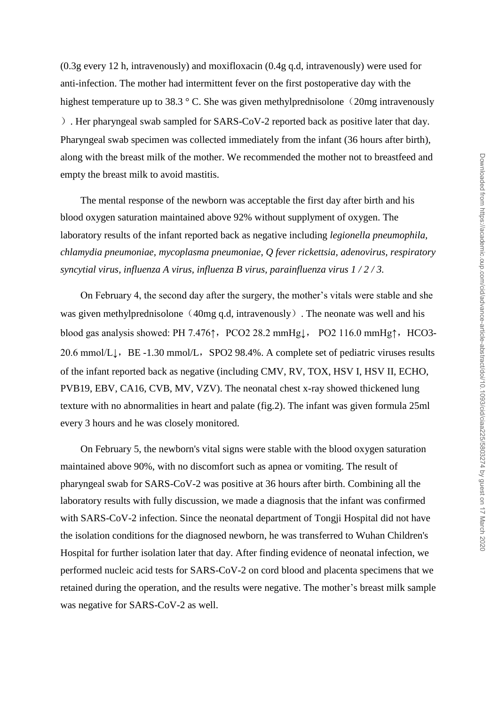(0.3g every 12 h, intravenously) and moxifloxacin (0.4g q.d, intravenously) were used for anti-infection. The mother had intermittent fever on the first postoperative day with the highest temperature up to 38.3  $\degree$  C. She was given methylprednisolone (20mg intravenously ). Her pharyngeal swab sampled for SARS-CoV-2 reported back as positive later that day. Pharyngeal swab specimen was collected immediately from the infant (36 hours after birth), along with the breast milk of the mother. We recommended the mother not to breastfeed and empty the breast milk to avoid mastitis.

The mental response of the newborn was acceptable the first day after birth and his blood oxygen saturation maintained above 92% without supplyment of oxygen. The laboratory results of the infant reported back as negative including *legionella pneumophila, chlamydia pneumoniae, mycoplasma pneumoniae, Q fever rickettsia, adenovirus, respiratory syncytial virus, influenza A virus, influenza B virus, parainfluenza virus 1 / 2 / 3.*

On February 4, the second day after the surgery, the mother's vitals were stable and she was given methylprednisolone  $(40mg q.d, intravenously)$ . The neonate was well and his blood gas analysis showed: PH 7.476↑, PCO2 28.2 mmHg↓, PO2 116.0 mmHg↑, HCO3-20.6 mmol/L↓, BE -1.30 mmol/L, SPO2 98.4%. A complete set of pediatric viruses results of the infant reported back as negative (including CMV, RV, TOX, HSV I, HSV II, ECHO, PVB19, EBV, CA16, CVB, MV, VZV). The neonatal chest x-ray showed thickened lung texture with no abnormalities in heart and palate (fig.2). The infant was given formula 25ml every 3 hours and he was closely monitored.

On February 5, the newborn's vital signs were stable with the blood oxygen saturation maintained above 90%, with no discomfort such as apnea or vomiting. The result of pharyngeal swab for SARS-CoV-2 was positive at 36 hours after birth. Combining all the laboratory results with fully discussion, we made a diagnosis that the infant was confirmed with SARS-CoV-2 infection. Since the neonatal department of Tongji Hospital did not have the isolation conditions for the diagnosed newborn, he was transferred to Wuhan Children's Hospital for further isolation later that day. After finding evidence of neonatal infection, we performed nucleic acid tests for SARS-CoV-2 on cord blood and placenta specimens that we retained during the operation, and the results were negative. The mother's breast milk sample was negative for SARS-CoV-2 as well.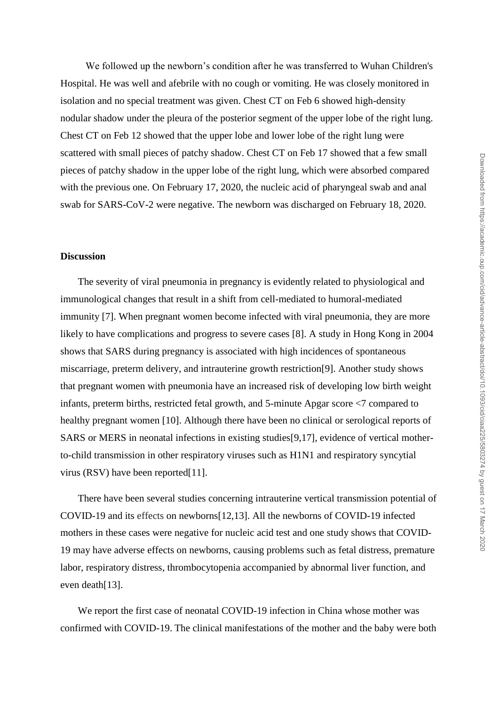We followed up the newborn's condition after he was transferred to Wuhan Children's Hospital. He was well and afebrile with no cough or vomiting. He was closely monitored in isolation and no special treatment was given. Chest CT on Feb 6 showed high-density nodular shadow under the pleura of the posterior segment of the upper lobe of the right lung. Chest CT on Feb 12 showed that the upper lobe and lower lobe of the right lung were scattered with small pieces of patchy shadow. Chest CT on Feb 17 showed that a few small pieces of patchy shadow in the upper lobe of the right lung, which were absorbed compared with the previous one. On February 17, 2020, the nucleic acid of pharyngeal swab and anal swab for SARS-CoV-2 were negative. The newborn was discharged on February 18, 2020.

#### **Discussion**

The severity of viral pneumonia in pregnancy is evidently related to physiological and immunological changes that result in a shift from cell-mediated to humoral-mediated immunity [7]. When pregnant women become infected with viral pneumonia, they are more likely to have complications and progress to severe cases [8]. A study in Hong Kong in 2004 shows that SARS during pregnancy is associated with high incidences of spontaneous miscarriage, preterm delivery, and intrauterine growth restriction[9]. Another study shows that pregnant women with pneumonia have an increased risk of developing low birth weight infants, preterm births, restricted fetal growth, and 5-minute Apgar score <7 compared to healthy pregnant women [10]. Although there have been no clinical or serological reports of SARS or MERS in neonatal infections in existing studies[9,17], evidence of vertical motherto-child transmission in other respiratory viruses such as H1N1 and respiratory syncytial virus (RSV) have been reported[11].

There have been several studies concerning intrauterine vertical transmission potential of COVID-19 and its effects on newborns[12,13]. All the newborns of COVID-19 infected mothers in these cases were negative for nucleic acid test and one study shows that COVID-19 may have adverse effects on newborns, causing problems such as fetal distress, premature labor, respiratory distress, thrombocytopenia accompanied by abnormal liver function, and even death[13].

We report the first case of neonatal COVID-19 infection in China whose mother was confirmed with COVID-19. The clinical manifestations of the mother and the baby were both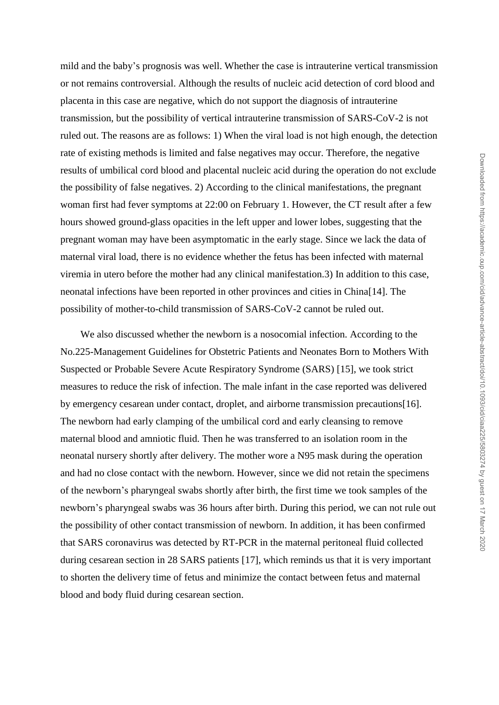mild and the baby's prognosis was well. Whether the case is intrauterine vertical transmission or not remains controversial. Although the results of nucleic acid detection of cord blood and placenta in this case are negative, which do not support the diagnosis of intrauterine transmission, but the possibility of vertical intrauterine transmission of SARS-CoV-2 is not ruled out. The reasons are as follows: 1) When the viral load is not high enough, the detection rate of existing methods is limited and false negatives may occur. Therefore, the negative results of umbilical cord blood and placental nucleic acid during the operation do not exclude the possibility of false negatives. 2) According to the clinical manifestations, the pregnant woman first had fever symptoms at 22:00 on February 1. However, the CT result after a few hours showed ground-glass opacities in the left upper and lower lobes, suggesting that the pregnant woman may have been asymptomatic in the early stage. Since we lack the data of maternal viral load, there is no evidence whether the fetus has been infected with maternal viremia in utero before the mother had any clinical manifestation.3) In addition to this case, neonatal infections have been reported in other provinces and cities in China[14]. The possibility of mother-to-child transmission of SARS-CoV-2 cannot be ruled out.

We also discussed whether the newborn is a nosocomial infection. According to the No.225-Management Guidelines for Obstetric Patients and Neonates Born to Mothers With Suspected or Probable Severe Acute Respiratory Syndrome (SARS) [15], we took strict measures to reduce the risk of infection. The male infant in the case reported was delivered by emergency cesarean under contact, droplet, and airborne transmission precautions[16]. The newborn had early clamping of the umbilical cord and early cleansing to remove maternal blood and amniotic fluid. Then he was transferred to an isolation room in the neonatal nursery shortly after delivery. The mother wore a N95 mask during the operation and had no close contact with the newborn. However, since we did not retain the specimens of the newborn's pharyngeal swabs shortly after birth, the first time we took samples of the newborn's pharyngeal swabs was 36 hours after birth. During this period, we can not rule out the possibility of other contact transmission of newborn. In addition, it has been confirmed that SARS coronavirus was detected by RT-PCR in the maternal peritoneal fluid collected during cesarean section in 28 SARS patients [17], which reminds us that it is very important to shorten the delivery time of fetus and minimize the contact between fetus and maternal blood and body fluid during cesarean section.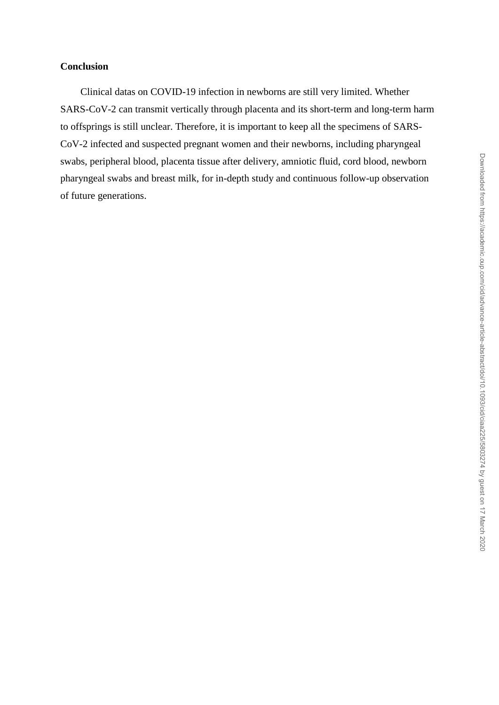## **Conclusion**

Clinical datas on COVID-19 infection in newborns are still very limited. Whether SARS-CoV-2 can transmit vertically through placenta and its short-term and long-term harm to offsprings is still unclear. Therefore, it is important to keep all the specimens of SARS-CoV-2 infected and suspected pregnant women and their newborns, including pharyngeal swabs, peripheral blood, placenta tissue after delivery, amniotic fluid, cord blood, newborn pharyngeal swabs and breast milk, for in-depth study and continuous follow-up observation of future generations.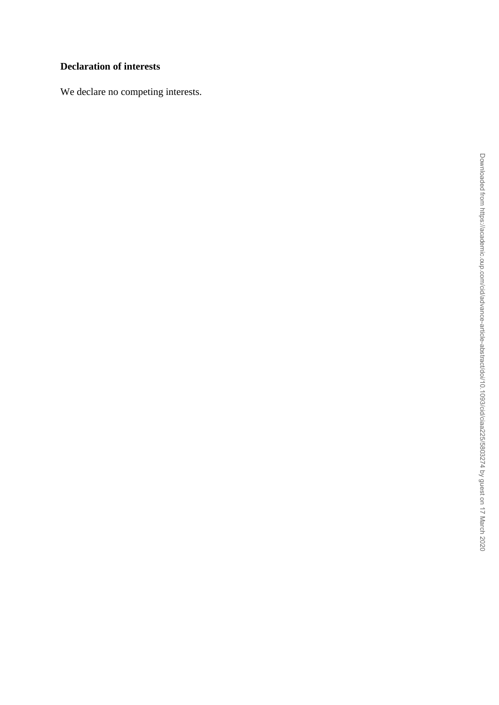## **Declaration of interests**

We declare no competing interests.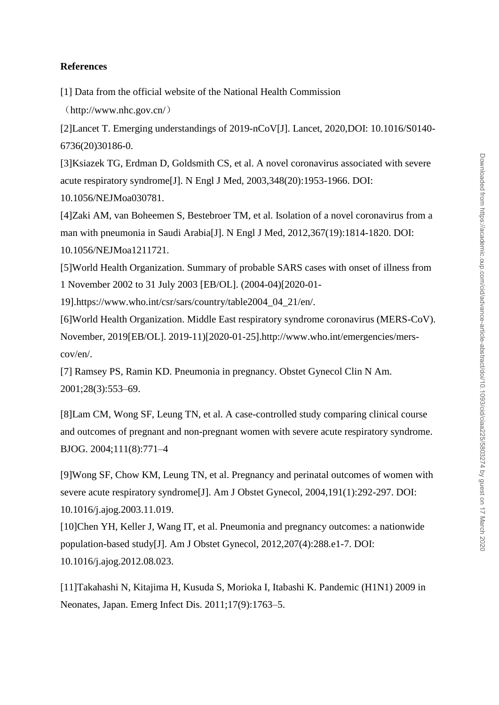### **References**

[1] Data from the official website of the National Health Commission

(http://www.nhc.gov.cn/)

[2]Lancet T. Emerging understandings of 2019-nCoV[J]. Lancet, 2020,DOI: 10.1016/S0140- 6736(20)30186-0.

[3]Ksiazek TG, Erdman D, Goldsmith CS, et al. A novel coronavirus associated with severe acute respiratory syndrome[J]. N Engl J Med, 2003,348(20):1953-1966. DOI: 10.1056/NEJMoa030781.

[4]Zaki AM, van Boheemen S, Bestebroer TM, et al. Isolation of a novel coronavirus from a man with pneumonia in Saudi Arabia[J]. N Engl J Med, 2012,367(19):1814-1820. DOI: 10.1056/NEJMoa1211721.

[5]World Health Organization. Summary of probable SARS cases with onset of illness from 1 November 2002 to 31 July 2003 [EB/OL]. (2004-04)[2020-01-

19].https://www.who.int/csr/sars/country/table2004\_04\_21/en/.

[6]World Health Organization. Middle East respiratory syndrome coronavirus (MERS-CoV). November, 2019[EB/OL]. 2019-11)[2020-01-25].http://www.who.int/emergencies/merscov/en/.

[7] Ramsey PS, Ramin KD. Pneumonia in pregnancy. Obstet Gynecol Clin N Am. 2001;28(3):553–69.

[8]Lam CM, Wong SF, Leung TN, et al. A case-controlled study comparing clinical course and outcomes of pregnant and non-pregnant women with severe acute respiratory syndrome. BJOG. 2004;111(8):771–4

[9]Wong SF, Chow KM, Leung TN, et al. Pregnancy and perinatal outcomes of women with severe acute respiratory syndrome[J]. Am J Obstet Gynecol, 2004,191(1):292-297. DOI: 10.1016/j.ajog.2003.11.019.

[10]Chen YH, Keller J, Wang IT, et al. Pneumonia and pregnancy outcomes: a nationwide population-based study[J]. Am J Obstet Gynecol, 2012,207(4):288.e1-7. DOI: 10.1016/j.ajog.2012.08.023.

[11]Takahashi N, Kitajima H, Kusuda S, Morioka I, Itabashi K. Pandemic (H1N1) 2009 in Neonates, Japan. Emerg Infect Dis. 2011;17(9):1763–5.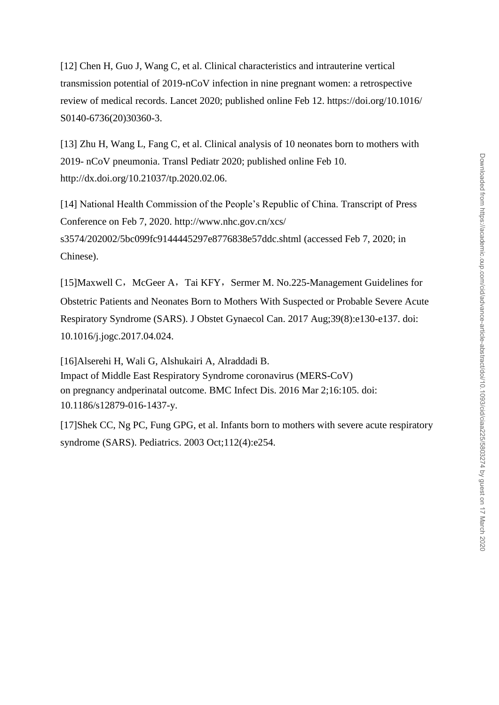[12] Chen H, Guo J, Wang C, et al. Clinical characteristics and intrauterine vertical transmission potential of 2019-nCoV infection in nine pregnant women: a retrospective review of medical records. Lancet 2020; published online Feb 12. https://doi.org/10.1016/ S0140-6736(20)30360-3.

[13] Zhu H, Wang L, Fang C, et al. Clinical analysis of 10 neonates born to mothers with 2019- nCoV pneumonia. Transl Pediatr 2020; published online Feb 10. http://dx.doi.org/10.21037/tp.2020.02.06.

[14] National Health Commission of the People's Republic of China. Transcript of Press Conference on Feb 7, 2020.<http://www.nhc.gov.cn/xcs/> s3574/202002/5bc099fc9144445297e8776838e57ddc.shtml (accessed Feb 7, 2020; in Chinese).

[15[\]Maxwell C](https://www.ncbi.nlm.nih.gov/pubmed/?term=Maxwell%20C%5BAuthor%5D&cauthor=true&cauthor_uid=28729104), [McGeer A](https://www.ncbi.nlm.nih.gov/pubmed/?term=McGeer%20A%5BAuthor%5D&cauthor=true&cauthor_uid=28729104), [Tai KFY](https://www.ncbi.nlm.nih.gov/pubmed/?term=Tai%20KFY%5BAuthor%5D&cauthor=true&cauthor_uid=28729104), [Sermer M.](https://www.ncbi.nlm.nih.gov/pubmed/?term=Sermer%20M%5BAuthor%5D&cauthor=true&cauthor_uid=28729104) No.225-Management Guidelines for Obstetric Patients and Neonates Born to Mothers With Suspected or Probable Severe Acute Respiratory Syndrome (SARS). [J Obstet Gynaecol Can.](https://www.ncbi.nlm.nih.gov/pubmed/28729104) 2017 Aug;39(8):e130-e137. doi: 10.1016/j.jogc.2017.04.024.

[16[\]Alserehi](https://www.ncbi.nlm.nih.gov/pubmed/?term=Alserehi%20H%5BAuthor%5D&cauthor=true&cauthor_uid=26936356) H, [Wali](https://www.ncbi.nlm.nih.gov/pubmed/?term=Wali%20G%5BAuthor%5D&cauthor=true&cauthor_uid=26936356) G, [Alshukairi A,](https://www.ncbi.nlm.nih.gov/pubmed/?term=Alshukairi%20A%5BAuthor%5D&cauthor=true&cauthor_uid=26936356) [Alraddadi B.](https://www.ncbi.nlm.nih.gov/pubmed/?term=Alraddadi%20B%5BAuthor%5D&cauthor=true&cauthor_uid=26936356) Impact of Middle East Respiratory Syndrome coronavirus (MERS-CoV) on pregnancy andperinatal outcome. [BMC Infect Dis.](https://www.ncbi.nlm.nih.gov/pubmed/?term=Impact+of+Middle+East+Respiratory+Syndrome+coronavirus+(MERS%E2%80%90CoV)+on+pregnancy+and+perinatal+outcome) 2016 Mar 2;16:105. doi: 10.1186/s12879-016-1437-y.

[17]Shek CC, Ng PC, Fung GPG, et al. Infants born to mothers with severe acute respiratory syndrome (SARS). [Pediatrics.](https://www.ncbi.nlm.nih.gov/pubmed/14523207) 2003 Oct;112(4):e254.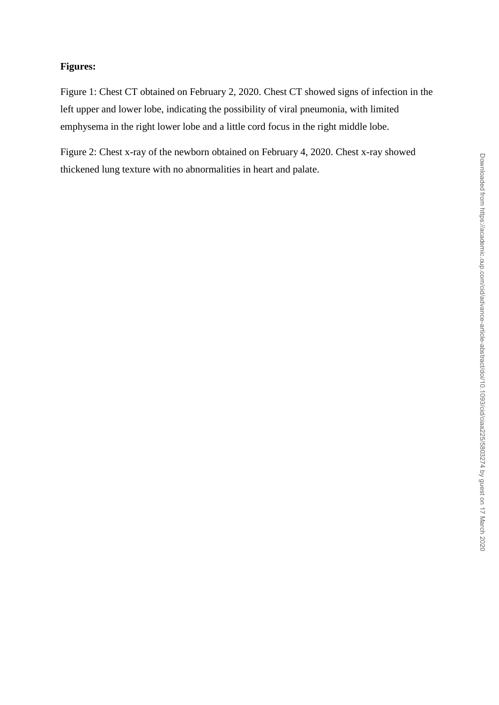## **Figures:**

Figure 1: Chest CT obtained on February 2, 2020. Chest CT showed signs of infection in the left upper and lower lobe, indicating the possibility of viral pneumonia, with limited emphysema in the right lower lobe and a little cord focus in the right middle lobe.

Figure 2: Chest x-ray of the newborn obtained on February 4, 2020. Chest x-ray showed thickened lung texture with no abnormalities in heart and palate.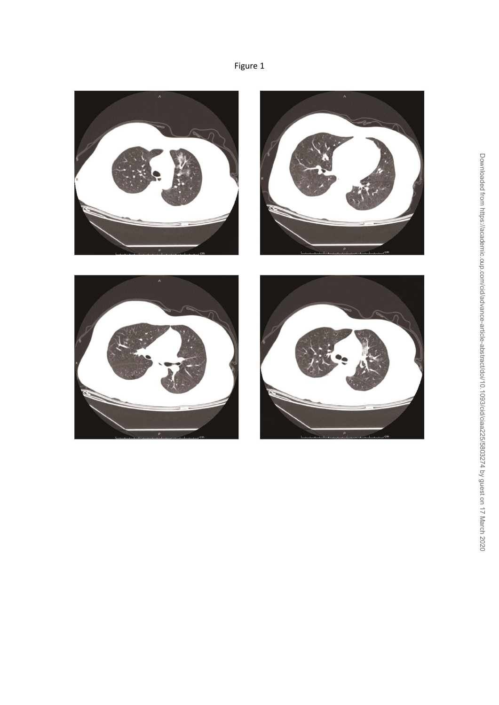